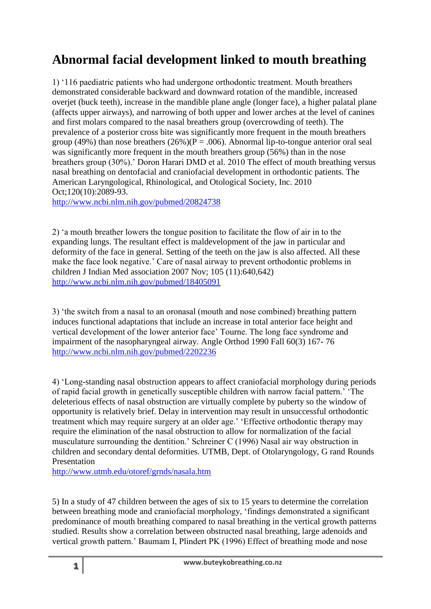## **Abnormal facial development linked to mouth breathing**

1) '116 paediatric patients who had undergone orthodontic treatment. Mouth breathers demonstrated considerable backward and downward rotation of the mandible, increased overjet (buck teeth), increase in the mandible plane angle (longer face), a higher palatal plane (affects upper airways), and narrowing of both upper and lower arches at the level of canines and first molars compared to the nasal breathers group (overcrowding of teeth). The prevalence of a posterior cross bite was significantly more frequent in the mouth breathers group (49%) than nose breathers (26%)( $P = .006$ ). Abnormal lip-to-tongue anterior oral seal was significantly more frequent in the mouth breathers group (56%) than in the nose breathers group (30%).' Doron Harari DMD et al. 2010 The effect of mouth breathing versus nasal breathing on dentofacial and craniofacial development in orthodontic patients. The American Laryngological, Rhinological, and Otological Society, Inc. 2010 Oct;120(10):2089-93.

<http://www.ncbi.nlm.nih.gov/pubmed/20824738>

2) 'a mouth breather lowers the tongue position to facilitate the flow of air in to the expanding lungs. The resultant effect is maldevelopment of the jaw in particular and deformity of the face in general. Setting of the teeth on the jaw is also affected. All these make the face look negative.' Care of nasal airway to prevent orthodontic problems in children J Indian Med association 2007 Nov; 105 (11):640,642) <http://www.ncbi.nlm.nih.gov/pubmed/18405091>

3) 'the switch from a nasal to an oronasal (mouth and nose combined) breathing pattern induces functional adaptations that include an increase in total anterior face height and vertical development of the lower anterior face' Tourne. The long face syndrome and impairment of the nasopharyngeal airway. Angle Orthod 1990 Fall 60(3) 167- 76 <http://www.ncbi.nlm.nih.gov/pubmed/2202236>

4) 'Long-standing nasal obstruction appears to affect craniofacial morphology during periods of rapid facial growth in genetically susceptible children with narrow facial pattern.' 'The deleterious effects of nasal obstruction are virtually complete by puberty so the window of opportunity is relatively brief. Delay in intervention may result in unsuccessful orthodontic treatment which may require surgery at an older age.' 'Effective orthodontic therapy may require the elimination of the nasal obstruction to allow for normalization of the facial musculature surrounding the dentition.' Schreiner C (1996) Nasal air way obstruction in children and secondary dental deformities. UTMB, Dept. of Otolaryngology, G rand Rounds Presentation

<http://www.utmb.edu/otoref/grnds/nasala.htm>

5) In a study of 47 children between the ages of six to 15 years to determine the correlation between breathing mode and craniofacial morphology, 'findings demonstrated a significant predominance of mouth breathing compared to nasal breathing in the vertical growth patterns studied. Results show a correlation between obstructed nasal breathing, large adenoids and vertical growth pattern.' Baumam I, Plindert PK (1996) Effect of breathing mode and nose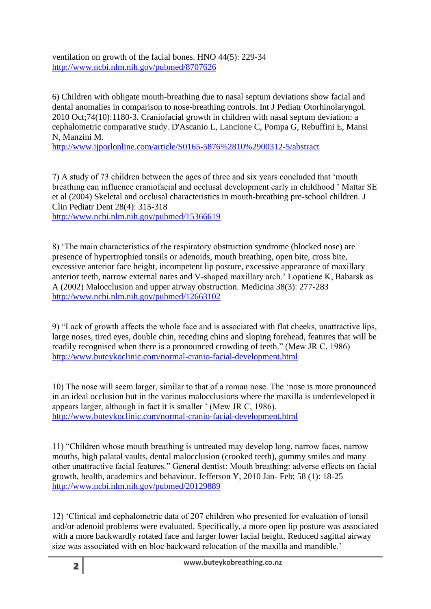ventilation on growth of the facial bones. HNO 44(5): 229-34 <http://www.ncbi.nlm.nih.gov/pubmed/8707626>

6) Children with obligate mouth-breathing due to nasal septum deviations show facial and dental anomalies in comparison to nose-breathing controls. Int J Pediatr Otorhinolaryngol. 2010 Oct;74(10):1180-3. Craniofacial growth in children with nasal septum deviation: a cephalometric comparative study. D'Ascanio L, Lancione C, Pompa G, Rebuffini E, Mansi N, Manzini M.

<http://www.ijporlonline.com/article/S0165-5876%2810%2900312-5/abstract>

7) A study of 73 children between the ages of three and six years concluded that 'mouth breathing can influence craniofacial and occlusal development early in childhood ' Mattar SE et al (2004) Skeletal and occlusal characteristics in mouth-breathing pre-school children. J Clin Pediatr Dent 28(4): 315-318

<http://www.ncbi.nlm.nih.gov/pubmed/15366619>

8) 'The main characteristics of the respiratory obstruction syndrome (blocked nose) are presence of hypertrophied tonsils or adenoids, mouth breathing, open bite, cross bite, excessive anterior face height, incompetent lip posture, excessive appearance of maxillary anterior teeth, narrow external nares and V-shaped maxillary arch.' Lopatiene K, Babarsk as A (2002) Malocclusion and upper airway obstruction. Medicina 38(3): 277-283 <http://www.ncbi.nlm.nih.gov/pubmed/12663102>

9) "Lack of growth affects the whole face and is associated with flat cheeks, unattractive lips, large noses, tired eyes, double chin, receding chins and sloping forehead, features that will be readily recognised when there is a pronounced crowding of teeth." (Mew JR C, 1986) <http://www.buteykoclinic.com/normal-cranio-facial-development.html>

10) The nose will seem larger, similar to that of a roman nose. The 'nose is more pronounced in an ideal occlusion but in the various malocclusions where the maxilla is underdeveloped it appears larger, although in fact it is smaller ' (Mew JR C, 1986). <http://www.buteykoclinic.com/normal-cranio-facial-development.html>

11) "Children whose mouth breathing is untreated may develop long, narrow faces, narrow mouths, high palatal vaults, dental malocclusion (crooked teeth), gummy smiles and many other unattractive facial features." General dentist: Mouth breathing: adverse effects on facial growth, health, academics and behaviour. Jefferson Y, 2010 Jan- Feb; 58 (1): 18-25 <http://www.ncbi.nlm.nih.gov/pubmed/20129889>

12) 'Clinical and cephalometric data of 207 children who presented for evaluation of tonsil and/or adenoid problems were evaluated. Specifically, a more open lip posture was associated with a more backwardly rotated face and larger lower facial height. Reduced sagittal airway size was associated with en bloc backward relocation of the maxilla and mandible.'